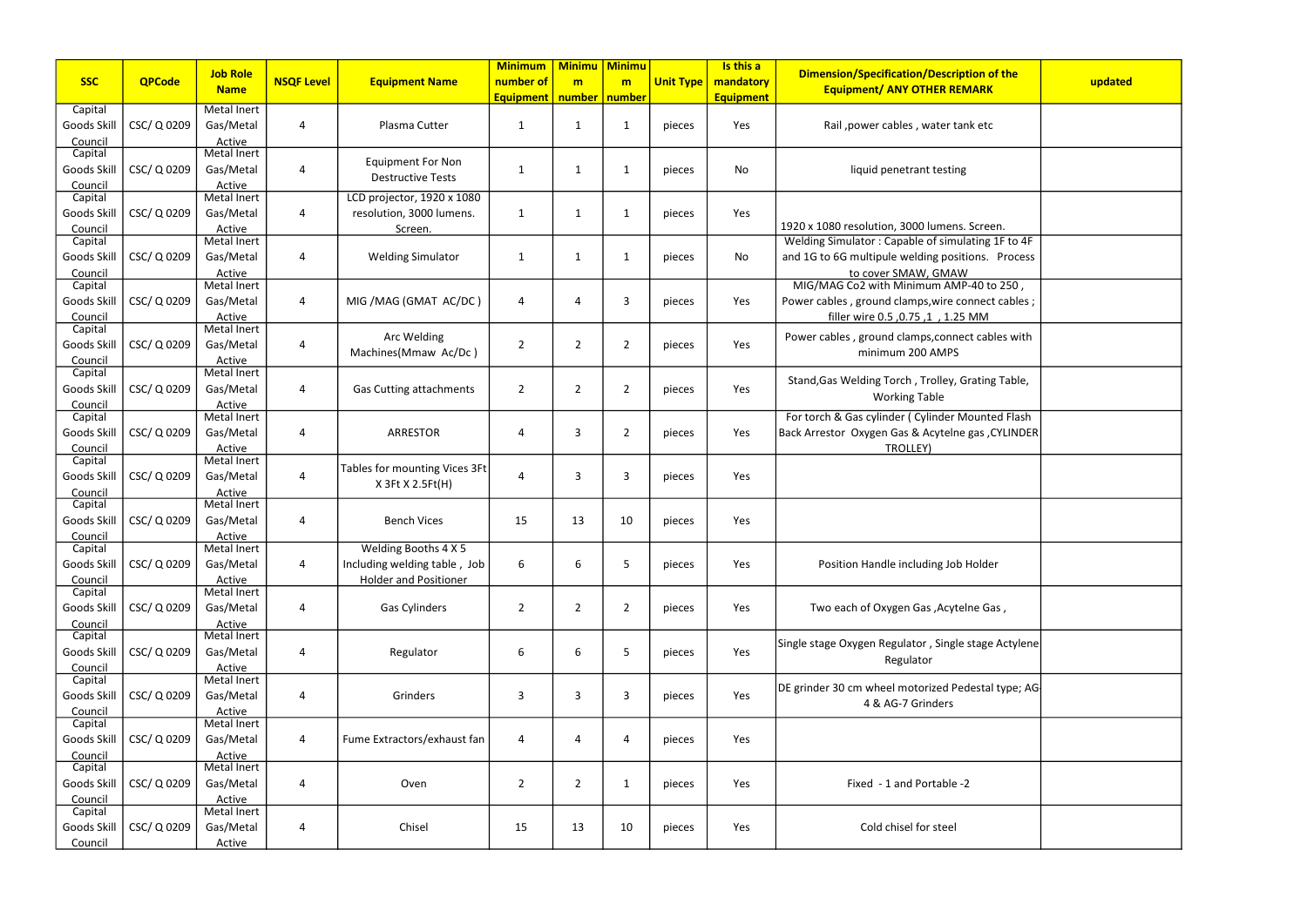| iption of the<br><b>EMARK</b>                                      | updated |
|--------------------------------------------------------------------|---------|
| ank etc                                                            |         |
| ٦g                                                                 |         |
| s. Screen.<br>ulating 1F to 4F<br>itions. Process                  |         |
| W<br>1P-40 to 250 <mark>,</mark><br>connect cables;<br><b>5 MM</b> |         |
| ect cables with                                                    |         |
| Grating Table,                                                     |         |
| <b>Mounted Flash</b><br>e gas , CYLINDER                           |         |
|                                                                    |         |
|                                                                    |         |
| b Holder                                                           |         |
| elne Gas,                                                          |         |
| e stage Actylene                                                   |         |
| edestal type; AG-                                                  |         |
|                                                                    |         |
| $-2$                                                               |         |
|                                                                    |         |

|                    |               | <b>Job Role</b>              |                       |                                | <b>Minimum</b>   | <b>Minimu</b>   | <b>Minimu</b>  |                  | Is this a        | <b>Dimension/Specification/Description of the</b>    |         |
|--------------------|---------------|------------------------------|-----------------------|--------------------------------|------------------|-----------------|----------------|------------------|------------------|------------------------------------------------------|---------|
| <b>SSC</b>         | <b>QPCode</b> | <b>Name</b>                  | <b>NSQF Level</b>     | <b>Equipment Name</b>          | number of        | m               | m              | <b>Unit Type</b> | mandatory        | <b>Equipment/ ANY OTHER REMARK</b>                   | updated |
|                    |               |                              |                       |                                | <b>Equipment</b> | number   number |                |                  | <b>Equipment</b> |                                                      |         |
| Capital            |               | Metal Inert                  |                       |                                |                  |                 |                |                  |                  |                                                      |         |
| Goods Skill        | CSC/Q0209     | Gas/Metal                    | $\overline{4}$        | Plasma Cutter                  | $\mathbf{1}$     | -1              | 1              | pieces           | Yes              | Rail , power cables, water tank etc                  |         |
| Council<br>Capital |               | Active<br><b>Metal Inert</b> |                       |                                |                  |                 |                |                  |                  |                                                      |         |
| Goods Skill        |               | Gas/Metal                    | $\overline{4}$        | <b>Equipment For Non</b>       |                  | $\mathbf 1$     |                |                  | No               |                                                      |         |
|                    | CSC/ Q 0209   |                              |                       | <b>Destructive Tests</b>       | 1                |                 | 1              | pieces           |                  | liquid penetrant testing                             |         |
| Council<br>Capital |               | Active<br><b>Metal Inert</b> |                       | LCD projector, 1920 x 1080     |                  |                 |                |                  |                  |                                                      |         |
| Goods Skill        | CSC/ Q 0209   | Gas/Metal                    | $\overline{4}$        | resolution, 3000 lumens.       | $\mathbf{1}$     | $\mathbf{1}$    | 1              | pieces           | Yes              |                                                      |         |
| Council            |               | Active                       |                       | Screen.                        |                  |                 |                |                  |                  | 1920 x 1080 resolution, 3000 lumens. Screen.         |         |
| Capital            |               | Metal Inert                  |                       |                                |                  |                 |                |                  |                  | Welding Simulator: Capable of simulating 1F to 4F    |         |
| Goods Skill        | CSC/Q0209     | Gas/Metal                    | Δ                     | <b>Welding Simulator</b>       | 1                | $\mathbf{1}$    | $\mathbf 1$    | pieces           | No               | and 1G to 6G multipule welding positions. Process    |         |
| Council            |               | Active                       |                       |                                |                  |                 |                |                  |                  | to cover SMAW, GMAW                                  |         |
| Capital            |               | <b>Metal Inert</b>           |                       |                                |                  |                 |                |                  |                  | MIG/MAG Co2 with Minimum AMP-40 to 250,              |         |
| Goods Skill        | CSC/ Q 0209   | Gas/Metal                    | 4                     | MIG / MAG (GMAT AC/DC)         | 4                | 4               | 3              | pieces           | Yes              | Power cables, ground clamps, wire connect cables;    |         |
| Council            |               | Active                       |                       |                                |                  |                 |                |                  |                  | filler wire 0.5, 0.75, 1, 1.25 MM                    |         |
| Capital            |               | <b>Metal Inert</b>           |                       | Arc Welding                    |                  |                 |                |                  |                  | Power cables, ground clamps, connect cables with     |         |
| Goods Skill        | CSC/Q0209     | Gas/Metal                    | $\boldsymbol{\Delta}$ | Machines(Mmaw Ac/Dc)           | $\overline{2}$   | $\overline{2}$  | 2              | pieces           | Yes              | minimum 200 AMPS                                     |         |
| Council            |               | Active<br>Metal Inert        |                       |                                |                  |                 |                |                  |                  |                                                      |         |
| Capital            |               |                              |                       |                                |                  |                 |                |                  |                  | Stand, Gas Welding Torch, Trolley, Grating Table,    |         |
| Goods Skill        | CSC/Q0209     | Gas/Metal                    | 4                     | <b>Gas Cutting attachments</b> | $\overline{2}$   | $\overline{2}$  | $\overline{2}$ | pieces           | Yes              | <b>Working Table</b>                                 |         |
| Council<br>Capital |               | Active<br>Metal Inert        |                       |                                |                  |                 |                |                  |                  | For torch & Gas cylinder ( Cylinder Mounted Flash    |         |
| Goods Skill        | CSC/ Q 0209   | Gas/Metal                    | $\overline{4}$        | <b>ARRESTOR</b>                | 4                | 3               | $\overline{2}$ | pieces           | Yes              | Back Arrestor Oxygen Gas & Acytelne gas, CYLINDER    |         |
| Council            |               | Active                       |                       |                                |                  |                 |                |                  |                  | TROLLEY)                                             |         |
| Capital            |               | Metal Inert                  |                       |                                |                  |                 |                |                  |                  |                                                      |         |
| Goods Skill        | CSC/ Q 0209   | Gas/Metal                    | $\overline{4}$        | Tables for mounting Vices 3Ft  | 4                | 3               | 3              | pieces           | Yes              |                                                      |         |
| Council            |               | Active                       |                       | $X$ 3Ft $X$ 2.5Ft(H)           |                  |                 |                |                  |                  |                                                      |         |
| Capital            |               | Metal Inert                  |                       |                                |                  |                 |                |                  |                  |                                                      |         |
| Goods Skill        | CSC/Q0209     | Gas/Metal                    | $\boldsymbol{\Delta}$ | <b>Bench Vices</b>             | 15               | 13              | 10             | pieces           | Yes              |                                                      |         |
| Council            |               | Active                       |                       |                                |                  |                 |                |                  |                  |                                                      |         |
| Capital            |               | Metal Inert                  |                       | Welding Booths 4 X 5           |                  |                 |                |                  |                  |                                                      |         |
| Goods Skill        | CSC/ Q 0209   | Gas/Metal                    | 4                     | Including welding table, Job   | 6                | 6               | 5              | pieces           | Yes              | Position Handle including Job Holder                 |         |
| Council            |               | Active                       |                       | <b>Holder and Positioner</b>   |                  |                 |                |                  |                  |                                                      |         |
| Capital            |               | Metal Inert                  |                       |                                |                  |                 |                |                  |                  |                                                      |         |
| Goods Skill        | CSC/ Q 0209   | Gas/Metal                    | 4                     | <b>Gas Cylinders</b>           | $\overline{2}$   | $\overline{2}$  | $\overline{2}$ | pieces           | Yes              | Two each of Oxygen Gas, Acytelne Gas,                |         |
| Council<br>Capital |               | Active<br>Metal Inert        |                       |                                |                  |                 |                |                  |                  |                                                      |         |
| Goods Skill        | CSC/Q0209     | Gas/Metal                    | $\overline{A}$        | Regulator                      | 6                | 6               | 5              | pieces           | Yes              | Single stage Oxygen Regulator, Single stage Actylene |         |
| Council            |               | Active                       |                       |                                |                  |                 |                |                  |                  | Regulator                                            |         |
| Capital            |               | Metal Inert                  |                       |                                |                  |                 |                |                  |                  |                                                      |         |
| Goods Skill        | CSC/ Q 0209   | Gas/Metal                    | 4                     | Grinders                       | 3                | 3               | 3              | pieces           | Yes              | DE grinder 30 cm wheel motorized Pedestal type; AG   |         |
| Council            |               | Active                       |                       |                                |                  |                 |                |                  |                  | 4 & AG-7 Grinders                                    |         |
| Capital            |               | Metal Inert                  |                       |                                |                  |                 |                |                  |                  |                                                      |         |
| Goods Skill        | CSC/ Q 0209   | Gas/Metal                    | 4                     | Fume Extractors/exhaust fan    | 4                | 4               | 4              | pieces           | Yes              |                                                      |         |
| Council            |               | Active                       |                       |                                |                  |                 |                |                  |                  |                                                      |         |
| Capital            |               | Metal Inert                  |                       |                                |                  |                 |                |                  |                  |                                                      |         |
| Goods Skill        | CSC/Q0209     | Gas/Metal                    | $\overline{4}$        | Oven                           | $\overline{2}$   | $\overline{2}$  | 1              | pieces           | Yes              | Fixed - 1 and Portable -2                            |         |
| Council            |               | Active                       |                       |                                |                  |                 |                |                  |                  |                                                      |         |
| Capital            |               | Metal Inert                  |                       |                                |                  |                 |                |                  |                  |                                                      |         |
| Goods Skill        | CSC/ Q 0209   | Gas/Metal                    | $\overline{4}$        | Chisel                         | 15               | 13              | 10             | pieces           | Yes              | Cold chisel for steel                                |         |
| Council            |               | Active                       |                       |                                |                  |                 |                |                  |                  |                                                      |         |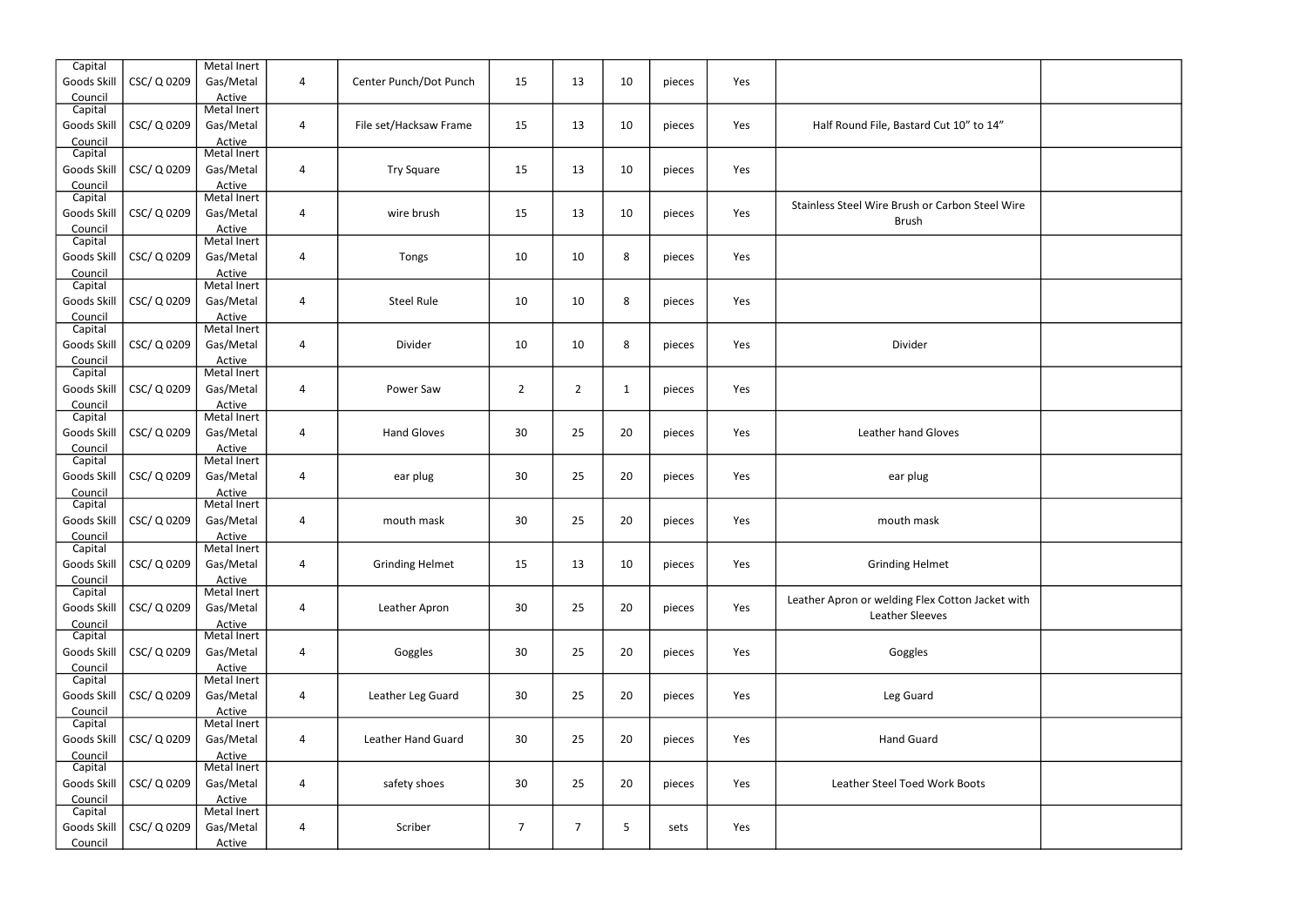| File, Bastard Cut 10" to 14"                         |  |
|------------------------------------------------------|--|
|                                                      |  |
| Vire Brush or Carbon Steel Wire<br><b>Brush</b>      |  |
|                                                      |  |
|                                                      |  |
| Divider                                              |  |
|                                                      |  |
| ather hand Gloves                                    |  |
| ear plug                                             |  |
| mouth mask                                           |  |
| Grinding Helmet                                      |  |
| r welding Flex Cotton Jacket with<br>Leather Sleeves |  |
| Goggles                                              |  |
| Leg Guard                                            |  |
| <b>Hand Guard</b>                                    |  |
| <b>Steel Toed Work Boots</b>                         |  |
|                                                      |  |
|                                                      |  |

| Capital<br>Goods Skill | CSC/Q0209   | Metal Inert<br>Gas/Metal | 4                       | Center Punch/Dot Punch | 15             | 13             | 10           | pieces | Yes |                                                  |  |
|------------------------|-------------|--------------------------|-------------------------|------------------------|----------------|----------------|--------------|--------|-----|--------------------------------------------------|--|
| Council                |             | Active                   |                         |                        |                |                |              |        |     |                                                  |  |
| Capital                |             | Metal Inert              |                         |                        |                |                |              |        |     |                                                  |  |
| Goods Skill            | CSC/Q0209   | Gas/Metal                | 4                       | File set/Hacksaw Frame | 15             | 13             | 10           | pieces | Yes | Half Round File, Bastard Cut 10" to 14"          |  |
| Council                |             | Active<br>Metal Inert    |                         |                        |                |                |              |        |     |                                                  |  |
| Capital<br>Goods Skill | CSC/Q0209   | Gas/Metal                | $\overline{\mathbf{4}}$ | <b>Try Square</b>      | 15             | 13             | 10           |        | Yes |                                                  |  |
| Council                |             | Active                   |                         |                        |                |                |              | pieces |     |                                                  |  |
| Capital                |             | Metal Inert              |                         |                        |                |                |              |        |     |                                                  |  |
| Goods Skill            | CSC/Q0209   | Gas/Metal                | 4                       | wire brush             | 15             | 13             | 10           | pieces | Yes | Stainless Steel Wire Brush or Carbon Steel Wire  |  |
| Council                |             | Active                   |                         |                        |                |                |              |        |     | <b>Brush</b>                                     |  |
| Capital                |             | Metal Inert              |                         |                        |                |                |              |        |     |                                                  |  |
| Goods Skill            | CSC/Q0209   | Gas/Metal                | 4                       | Tongs                  | 10             | 10             | 8            | pieces | Yes |                                                  |  |
| Council                |             | Active<br>Metal Inert    |                         |                        |                |                |              |        |     |                                                  |  |
| Capital<br>Goods Skill | CSC/Q0209   | Gas/Metal                | $\overline{\mathbf{4}}$ | <b>Steel Rule</b>      | 10             | 10             | 8            | pieces | Yes |                                                  |  |
| Council                |             | Active                   |                         |                        |                |                |              |        |     |                                                  |  |
| Capital                |             | Metal Inert              |                         |                        |                |                |              |        |     |                                                  |  |
| Goods Skill            | CSC/ Q 0209 | Gas/Metal                | 4                       | Divider                | 10             | 10             | 8            | pieces | Yes | Divider                                          |  |
| Council                |             | Active                   |                         |                        |                |                |              |        |     |                                                  |  |
| Capital                |             | Metal Inert              |                         |                        |                |                |              |        |     |                                                  |  |
| Goods Skill            | CSC/Q0209   | Gas/Metal                | 4                       | Power Saw              | $\overline{2}$ | $\overline{2}$ | $\mathbf{1}$ | pieces | Yes |                                                  |  |
| Council                |             | Active                   |                         |                        |                |                |              |        |     |                                                  |  |
| Capital                |             | Metal Inert              |                         |                        |                |                |              |        |     |                                                  |  |
| Goods Skill            | CSC/Q0209   | Gas/Metal                | $\overline{\mathbf{4}}$ | <b>Hand Gloves</b>     | 30             | 25             | 20           | pieces | Yes | Leather hand Gloves                              |  |
| Council<br>Capital     |             | Active<br>Metal Inert    |                         |                        |                |                |              |        |     |                                                  |  |
| Goods Skill            | CSC/Q0209   | Gas/Metal                | 4                       | ear plug               | 30             | 25             | 20           | pieces | Yes | ear plug                                         |  |
| Council                |             | Active                   |                         |                        |                |                |              |        |     |                                                  |  |
| Capital                |             | Metal Inert              |                         |                        |                |                |              |        |     |                                                  |  |
| Goods Skill            | CSC/Q0209   | Gas/Metal                | 4                       | mouth mask             | 30             | 25             | 20           | pieces | Yes | mouth mask                                       |  |
| Council                |             | Active                   |                         |                        |                |                |              |        |     |                                                  |  |
| Capital                |             | Metal Inert              |                         |                        |                |                |              |        |     |                                                  |  |
| Goods Skill            | CSC/ Q 0209 | Gas/Metal                | 4                       | <b>Grinding Helmet</b> | 15             | 13             | 10           | pieces | Yes | <b>Grinding Helmet</b>                           |  |
| Council<br>Capital     |             | Active<br>Metal Inert    |                         |                        |                |                |              |        |     |                                                  |  |
| Goods Skill            | CSC/Q0209   | Gas/Metal                | $\overline{\mathbf{4}}$ | Leather Apron          | 30             | 25             | 20           | pieces | Yes | Leather Apron or welding Flex Cotton Jacket with |  |
| Council                |             | Active                   |                         |                        |                |                |              |        |     | Leather Sleeves                                  |  |
| Capital                |             | Metal Inert              |                         |                        |                |                |              |        |     |                                                  |  |
| Goods Skill            | CSC/Q0209   | Gas/Metal                | $\overline{\mathbf{4}}$ | Goggles                | 30             | 25             | 20           | pieces | Yes | Goggles                                          |  |
| Council                |             | Active                   |                         |                        |                |                |              |        |     |                                                  |  |
| Capital                |             | Metal Inert              |                         |                        |                |                |              |        |     |                                                  |  |
| Goods Skill            | CSC/ Q 0209 | Gas/Metal                | 4                       | Leather Leg Guard      | 30             | 25             | 20           | pieces | Yes | Leg Guard                                        |  |
| Council<br>Capital     |             | Active<br>Metal Inert    |                         |                        |                |                |              |        |     |                                                  |  |
| Goods Skill            | CSC/Q0209   | Gas/Metal                | 4                       | Leather Hand Guard     | 30             | 25             | 20           | pieces | Yes | <b>Hand Guard</b>                                |  |
| Council                |             | Active                   |                         |                        |                |                |              |        |     |                                                  |  |
| Capital                |             | Metal Inert              |                         |                        |                |                |              |        |     |                                                  |  |
| Goods Skill            | CSC/Q0209   | Gas/Metal                | $\overline{\mathbf{4}}$ | safety shoes           | 30             | 25             | 20           | pieces | Yes | Leather Steel Toed Work Boots                    |  |
| Council                |             | Active                   |                         |                        |                |                |              |        |     |                                                  |  |
| Capital                |             | Metal Inert              |                         |                        |                |                |              |        |     |                                                  |  |
| Goods Skill            | CSC/ Q 0209 | Gas/Metal                | 4                       | Scriber                | $\overline{7}$ | $\overline{7}$ | 5            | sets   | Yes |                                                  |  |
| Council                |             | Active                   |                         |                        |                |                |              |        |     |                                                  |  |